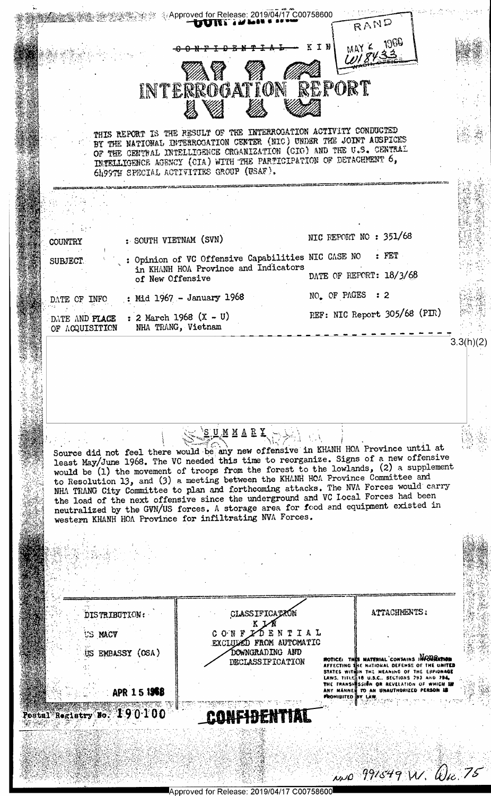

Approved for Release: 2019/04/17 C00758600